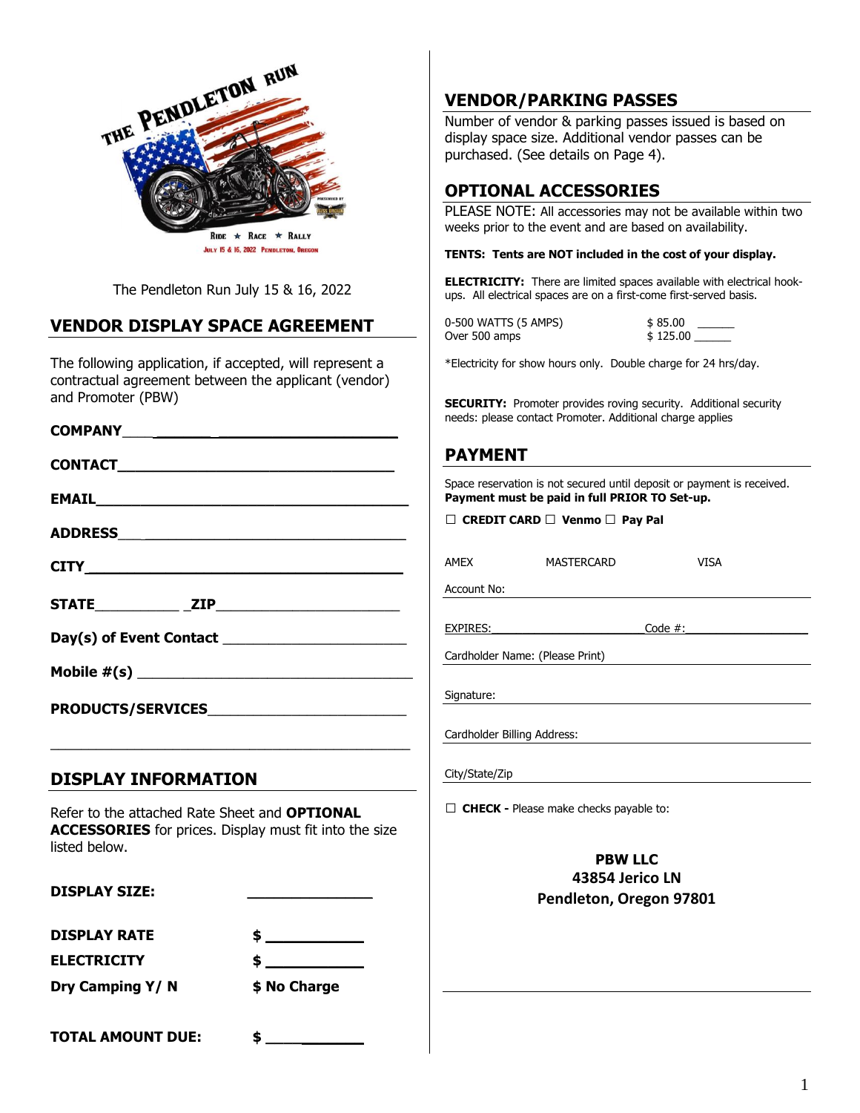

The Pendleton Run July 15 & 16, 2022

# **VENDOR DISPLAY SPACE AGREEMENT**

The following application, if accepted, will represent a contractual agreement between the applicant (vendor) and Promoter (PBW)

#### **COMPANY**\_\_\_\_ **\_\_\_\_\_\_ \_\_\_\_\_\_\_\_\_\_\_\_\_\_\_\_\_\_\_\_**

| PRODUCTS/SERVICESNESSERVICES |  |
|------------------------------|--|

### **DISPLAY INFORMATION**

Refer to the attached Rate Sheet and **OPTIONAL ACCESSORIES** for prices. Display must fit into the size listed below.

\_\_\_\_\_\_\_\_\_\_\_\_\_\_\_\_\_\_\_\_\_\_\_\_\_\_\_\_\_\_\_\_\_\_\_\_\_\_\_\_\_\_\_\_\_\_\_

DISPLAY SIZE:

**DISPLAY RATE** 

**ELECTRICITY \$ \_\_\_\_\_\_\_\_\_\_\_**

**Dry Camping Y/ N \$ No Charge** 

| 1 |     |              |  |
|---|-----|--------------|--|
|   |     |              |  |
| ٠ | - - | -<br>.,<br>■ |  |

**TOTAL AMOUNT DUE: \$ \_\_\_\_\_\_\_\_\_\_\_**

**VENDOR/PARKING PASSES**

Number of vendor & parking passes issued is based on display space size. Additional vendor passes can be purchased. (See details on Page 4).

## **OPTIONAL ACCESSORIES**

PLEASE NOTE: All accessories may not be available within two weeks prior to the event and are based on availability.

#### **TENTS: Tents are NOT included in the cost of your display.**

**ELECTRICITY:** There are limited spaces available with electrical hookups. All electrical spaces are on a first-come first-served basis.

| 0-500 WATTS (5 AMPS) | \$85.00  |
|----------------------|----------|
| Over 500 amps        | \$125.00 |

\*Electricity for show hours only. Double charge for 24 hrs/day.

**SECURITY:** Promoter provides roving security. Additional security needs: please contact Promoter. Additional charge applies

### **PAYMENT**

Space reservation is not secured until deposit or payment is received. **Payment must be paid in full PRIOR TO Set-up.** 

MASTERCARD VISA

|  | $\Box$ CREDIT CARD $\Box$ Venmo $\Box$ Pay Pal |  |
|--|------------------------------------------------|--|
|  |                                                |  |

| AMEX |  |
|------|--|
|      |  |

Account No:

EXPIRES: Code #:

Cardholder Name: (Please Print)

Signature:

Cardholder Billing Address:

City/State/Zip

**□ CHECK -** Please make checks payable to:

### **PBW LLC 43854 Jerico LN Pendleton, Oregon 97801**

1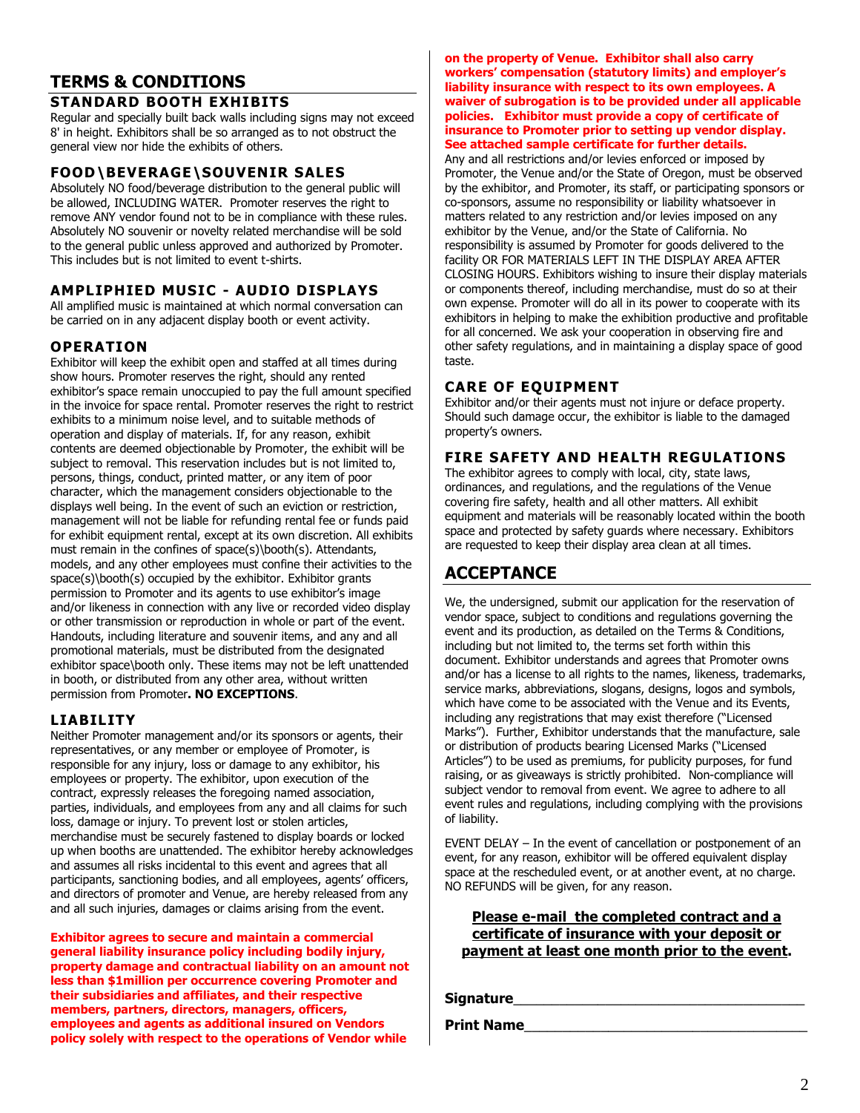# **TERMS & CONDITIONS**

### **STANDARD BOOTH EXHIBITS**

Regular and specially built back walls including signs may not exceed 8' in height. Exhibitors shall be so arranged as to not obstruct the general view nor hide the exhibits of others.

### **FOOD\BEVERAGE\SOUVENIR SALES**

Absolutely NO food/beverage distribution to the general public will be allowed, INCLUDING WATER. Promoter reserves the right to remove ANY vendor found not to be in compliance with these rules. Absolutely NO souvenir or novelty related merchandise will be sold to the general public unless approved and authorized by Promoter. This includes but is not limited to event t-shirts.

### **AMPLIPHIED MUSIC - AUDIO DISPLAYS**

All amplified music is maintained at which normal conversation can be carried on in any adjacent display booth or event activity.

### **OPERATION**

Exhibitor will keep the exhibit open and staffed at all times during show hours. Promoter reserves the right, should any rented exhibitor's space remain unoccupied to pay the full amount specified in the invoice for space rental. Promoter reserves the right to restrict exhibits to a minimum noise level, and to suitable methods of operation and display of materials. If, for any reason, exhibit contents are deemed objectionable by Promoter, the exhibit will be subject to removal. This reservation includes but is not limited to, persons, things, conduct, printed matter, or any item of poor character, which the management considers objectionable to the displays well being. In the event of such an eviction or restriction, management will not be liable for refunding rental fee or funds paid for exhibit equipment rental, except at its own discretion. All exhibits must remain in the confines of space(s)\booth(s). Attendants, models, and any other employees must confine their activities to the space(s)\booth(s) occupied by the exhibitor. Exhibitor grants permission to Promoter and its agents to use exhibitor's image and/or likeness in connection with any live or recorded video display or other transmission or reproduction in whole or part of the event. Handouts, including literature and souvenir items, and any and all promotional materials, must be distributed from the designated exhibitor space\booth only. These items may not be left unattended in booth, or distributed from any other area, without written permission from Promoter**. NO EXCEPTIONS**.

### **LIABILITY**

Neither Promoter management and/or its sponsors or agents, their representatives, or any member or employee of Promoter, is responsible for any injury, loss or damage to any exhibitor, his employees or property. The exhibitor, upon execution of the contract, expressly releases the foregoing named association, parties, individuals, and employees from any and all claims for such loss, damage or injury. To prevent lost or stolen articles, merchandise must be securely fastened to display boards or locked up when booths are unattended. The exhibitor hereby acknowledges and assumes all risks incidental to this event and agrees that all participants, sanctioning bodies, and all employees, agents' officers, and directors of promoter and Venue, are hereby released from any and all such injuries, damages or claims arising from the event.

**Exhibitor agrees to secure and maintain a commercial general liability insurance policy including bodily injury, property damage and contractual liability on an amount not less than \$1million per occurrence covering Promoter and their subsidiaries and affiliates, and their respective members, partners, directors, managers, officers, employees and agents as additional insured on Vendors policy solely with respect to the operations of Vendor while** 

**on the property of Venue. Exhibitor shall also carry workers' compensation (statutory limits) and employer's liability insurance with respect to its own employees. A waiver of subrogation is to be provided under all applicable policies. Exhibitor must provide a copy of certificate of insurance to Promoter prior to setting up vendor display. See attached sample certificate for further details.**

Any and all restrictions and/or levies enforced or imposed by Promoter, the Venue and/or the State of Oregon, must be observed by the exhibitor, and Promoter, its staff, or participating sponsors or co-sponsors, assume no responsibility or liability whatsoever in matters related to any restriction and/or levies imposed on any exhibitor by the Venue, and/or the State of California. No responsibility is assumed by Promoter for goods delivered to the facility OR FOR MATERIALS LEFT IN THE DISPLAY AREA AFTER CLOSING HOURS. Exhibitors wishing to insure their display materials or components thereof, including merchandise, must do so at their own expense. Promoter will do all in its power to cooperate with its exhibitors in helping to make the exhibition productive and profitable for all concerned. We ask your cooperation in observing fire and other safety regulations, and in maintaining a display space of good taste.

### **CARE OF EQUIPMENT**

Exhibitor and/or their agents must not injure or deface property. Should such damage occur, the exhibitor is liable to the damaged property's owners.

### **FIRE SAFETY AND HEALTH REGULATIONS**

The exhibitor agrees to comply with local, city, state laws, ordinances, and regulations, and the regulations of the Venue covering fire safety, health and all other matters. All exhibit equipment and materials will be reasonably located within the booth space and protected by safety guards where necessary. Exhibitors are requested to keep their display area clean at all times.

# **ACCEPTANCE**

We, the undersigned, submit our application for the reservation of vendor space, subject to conditions and regulations governing the event and its production, as detailed on the Terms & Conditions, including but not limited to, the terms set forth within this document. Exhibitor understands and agrees that Promoter owns and/or has a license to all rights to the names, likeness, trademarks, service marks, abbreviations, slogans, designs, logos and symbols, which have come to be associated with the Venue and its Events, including any registrations that may exist therefore ("Licensed Marks"). Further, Exhibitor understands that the manufacture, sale or distribution of products bearing Licensed Marks ("Licensed Articles") to be used as premiums, for publicity purposes, for fund raising, or as giveaways is strictly prohibited. Non-compliance will subject vendor to removal from event. We agree to adhere to all event rules and regulations, including complying with the provisions of liability.

EVENT DELAY – In the event of cancellation or postponement of an event, for any reason, exhibitor will be offered equivalent display space at the rescheduled event, or at another event, at no charge. NO REFUNDS will be given, for any reason.

### **Please e-mail the completed contract and a certificate of insurance with your deposit or payment at least one month prior to the event.**

**Signature** 

**Print Name**\_\_\_\_\_\_\_\_\_\_\_\_\_\_\_\_\_\_\_\_\_\_\_\_\_\_\_\_\_\_\_\_\_\_\_\_\_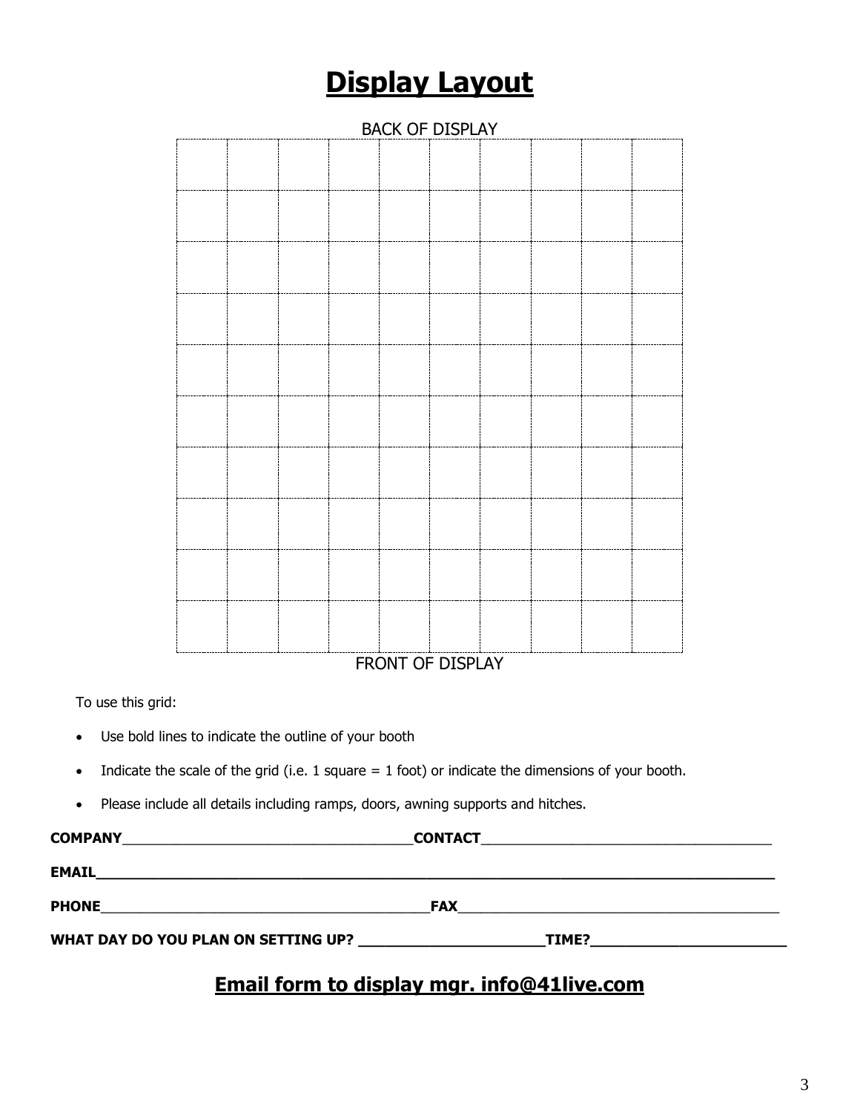# **Display Layout**

| <b>BACK OF DISPLAY</b> |  |  |  |                        |                               |  |  |  |
|------------------------|--|--|--|------------------------|-------------------------------|--|--|--|
|                        |  |  |  |                        |                               |  |  |  |
|                        |  |  |  |                        |                               |  |  |  |
|                        |  |  |  |                        |                               |  |  |  |
|                        |  |  |  |                        |                               |  |  |  |
|                        |  |  |  |                        |                               |  |  |  |
|                        |  |  |  |                        |                               |  |  |  |
|                        |  |  |  |                        |                               |  |  |  |
|                        |  |  |  |                        |                               |  |  |  |
|                        |  |  |  |                        |                               |  |  |  |
|                        |  |  |  |                        |                               |  |  |  |
|                        |  |  |  |                        |                               |  |  |  |
|                        |  |  |  | $F_{D}$ $N$ $T$ $\ell$ | $\overline{r}$ $\overline{r}$ |  |  |  |

FRONT OF DISPLAY

To use this grid:

- Use bold lines to indicate the outline of your booth
- Indicate the scale of the grid (i.e.  $1$  square =  $1$  foot) or indicate the dimensions of your booth.
- Please include all details including ramps, doors, awning supports and hitches.

| <b>COMPANY</b><br><u> 1989 - John Stone, Amerikaansk politiker (</u>                                                               | <b>CONTACT</b> |       |  |
|------------------------------------------------------------------------------------------------------------------------------------|----------------|-------|--|
| <b>EMAIL</b>                                                                                                                       |                |       |  |
| <b>PHONE</b><br><u> 1980 - Jan Stein Harry Harry Harry Harry Harry Harry Harry Harry Harry Harry Harry Harry Harry Harry Harry</u> | <b>FAX</b>     |       |  |
| WHAT DAY DO YOU PLAN ON SETTING UP?                                                                                                |                | TIME? |  |
|                                                                                                                                    |                |       |  |

# **Email form to display mgr. info@41live.com**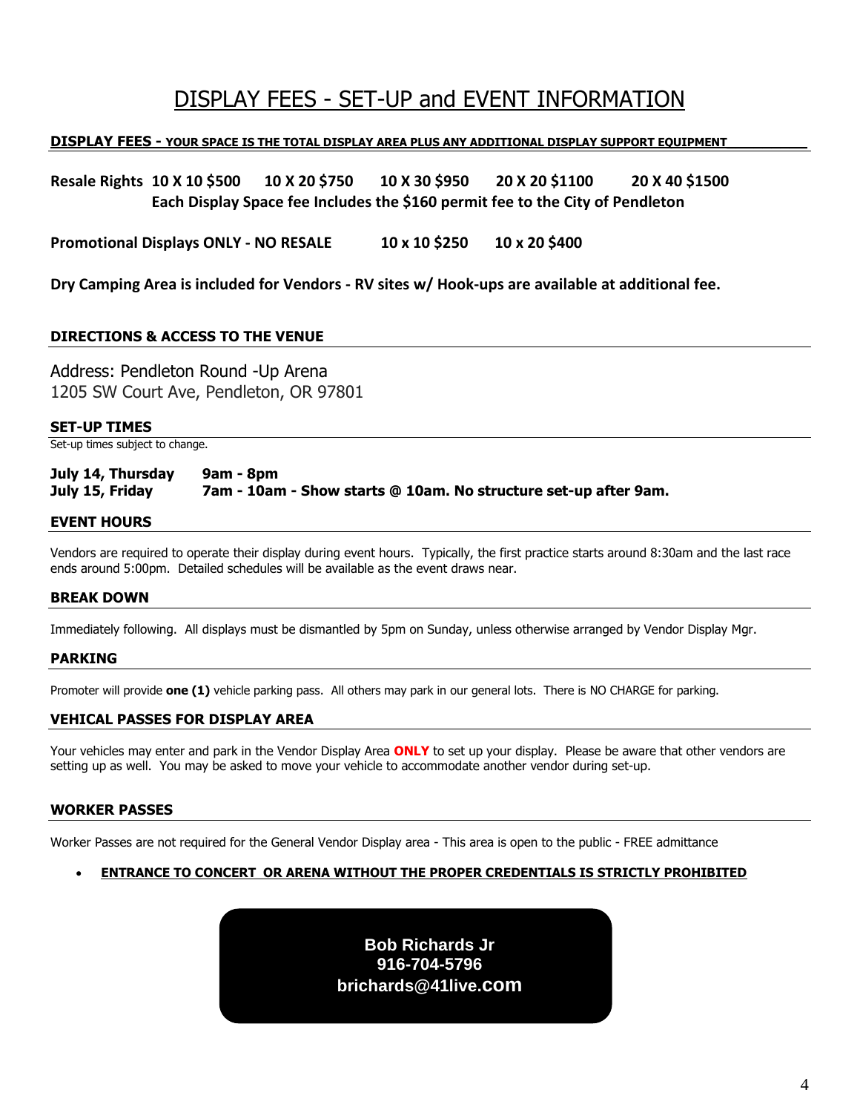# DISPLAY FEES - SET-UP and EVENT INFORMATION

### **DISPLAY FEES - YOUR SPACE IS THE TOTAL DISPLAY AREA PLUS ANY ADDITIONAL DISPLAY SUPPORT EQUIPMENT\_\_\_\_\_\_\_\_\_**

**Resale Rights 10 X 10 \$500 10 X 20 \$750 10 X 30 \$950 20 X 20 \$1100 20 X 40 \$1500 Each Display Space fee Includes the \$160 permit fee to the City of Pendleton** 

**Promotional Displays ONLY - NO RESALE 10 x 10 \$250 10 x 20 \$400** 

**Dry Camping Area is included for Vendors - RV sites w/ Hook-ups are available at additional fee.** 

### **DIRECTIONS & ACCESS TO THE VENUE**

Address: Pendleton Round -Up Arena 1205 SW Court Ave, Pendleton, OR 97801

### **SET-UP TIMES**

Set-up times subject to change.

### **July 14, Thursday 9am - 8pm July 15, Friday 7am - 10am - Show starts @ 10am. No structure set-up after 9am.**

### **EVENT HOURS**

Vendors are required to operate their display during event hours. Typically, the first practice starts around 8:30am and the last race ends around 5:00pm. Detailed schedules will be available as the event draws near.

### **BREAK DOWN**

Immediately following. All displays must be dismantled by 5pm on Sunday, unless otherwise arranged by Vendor Display Mgr.

### **PARKING**

Promoter will provide **one (1)** vehicle parking pass. All others may park in our general lots. There is NO CHARGE for parking.

### **VEHICAL PASSES FOR DISPLAY AREA**

Your vehicles may enter and park in the Vendor Display Area **ONLY** to set up your display. Please be aware that other vendors are setting up as well. You may be asked to move your vehicle to accommodate another vendor during set-up.

### **WORKER PASSES**

Worker Passes are not required for the General Vendor Display area - This area is open to the public - FREE admittance

### • **ENTRANCE TO CONCERT OR ARENA WITHOUT THE PROPER CREDENTIALS IS STRICTLY PROHIBITED**

**Bob Richards Jr 916-704-5796 brichards@41live.com**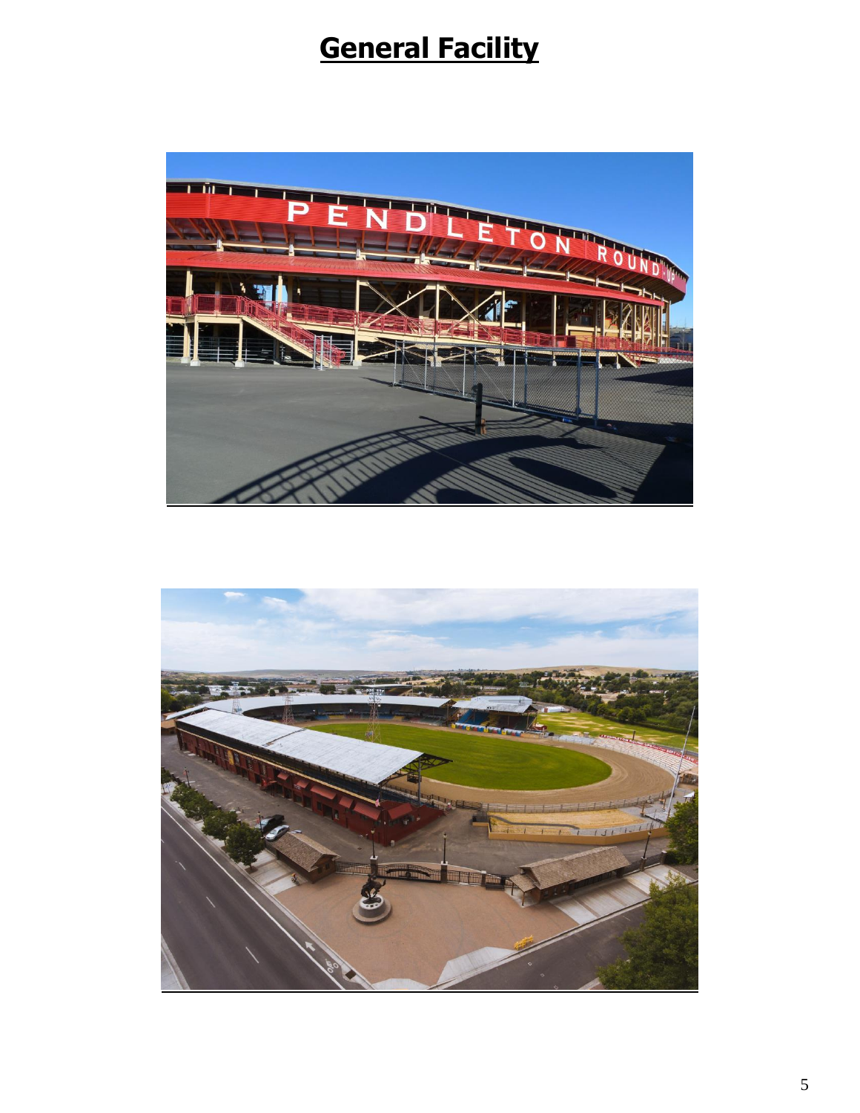# **General Facility**